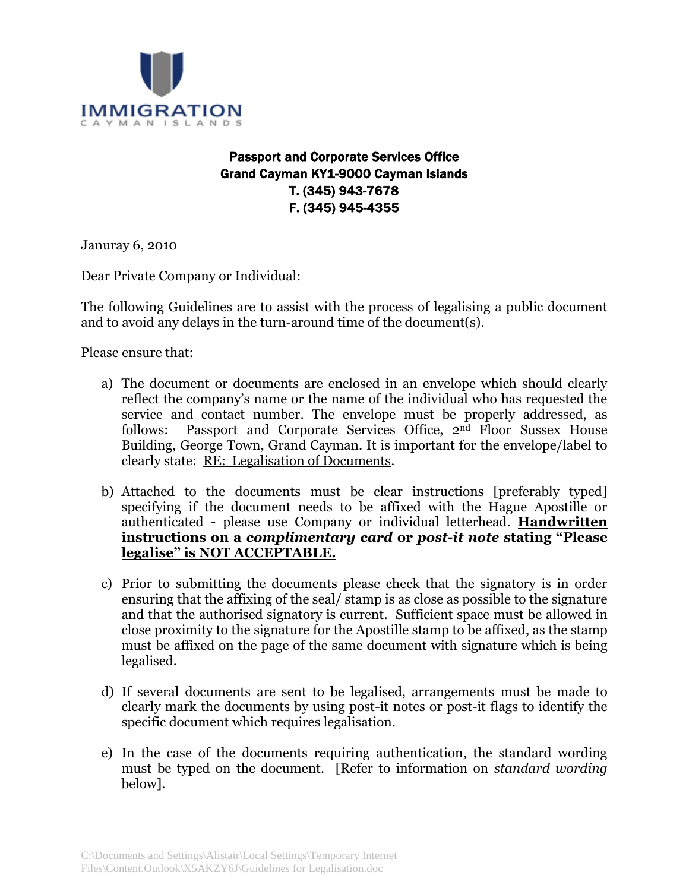

# Passport and Corporate Services Office Grand Cayman KY1-9000 Cayman Islands T. (345) 943-7678 F. (345) 945-4355

Januray 6, 2010

Dear Private Company or Individual:

The following Guidelines are to assist with the process of legalising a public document and to avoid any delays in the turn-around time of the document(s).

Please ensure that:

- a) The document or documents are enclosed in an envelope which should clearly reflect the company's name or the name of the individual who has requested the service and contact number. The envelope must be properly addressed, as follows: Passport and Corporate Services Office, 2nd Floor Sussex House Building, George Town, Grand Cayman. It is important for the envelope/label to clearly state: RE: Legalisation of Documents.
- b) Attached to the documents must be clear instructions [preferably typed] specifying if the document needs to be affixed with the Hague Apostille or authenticated - please use Company or individual letterhead. **Handwritten instructions on a** *complimentary card* **or** *post-it note* **stating "Please legalise" is NOT ACCEPTABLE.**
- c) Prior to submitting the documents please check that the signatory is in order ensuring that the affixing of the seal/ stamp is as close as possible to the signature and that the authorised signatory is current. Sufficient space must be allowed in close proximity to the signature for the Apostille stamp to be affixed, as the stamp must be affixed on the page of the same document with signature which is being legalised.
- d) If several documents are sent to be legalised, arrangements must be made to clearly mark the documents by using post-it notes or post-it flags to identify the specific document which requires legalisation.
- e) In the case of the documents requiring authentication, the standard wording must be typed on the document. [Refer to information on *standard wording* below].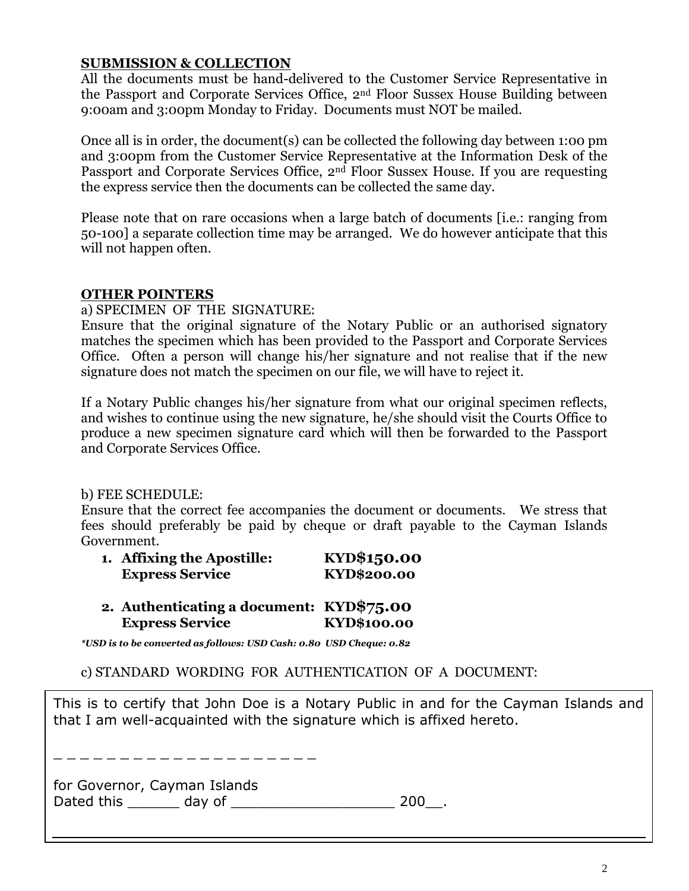## **SUBMISSION & COLLECTION**

All the documents must be hand-delivered to the Customer Service Representative in the Passport and Corporate Services Office, 2nd Floor Sussex House Building between 9:00am and 3:00pm Monday to Friday. Documents must NOT be mailed.

Once all is in order, the document(s) can be collected the following day between 1:00 pm and 3:00pm from the Customer Service Representative at the Information Desk of the Passport and Corporate Services Office, 2<sup>nd</sup> Floor Sussex House. If you are requesting the express service then the documents can be collected the same day.

Please note that on rare occasions when a large batch of documents [i.e.: ranging from 50-100] a separate collection time may be arranged. We do however anticipate that this will not happen often.

## **OTHER POINTERS**

### a) SPECIMEN OF THE SIGNATURE:

Ensure that the original signature of the Notary Public or an authorised signatory matches the specimen which has been provided to the Passport and Corporate Services Office. Often a person will change his/her signature and not realise that if the new signature does not match the specimen on our file, we will have to reject it.

If a Notary Public changes his/her signature from what our original specimen reflects, and wishes to continue using the new signature, he/she should visit the Courts Office to produce a new specimen signature card which will then be forwarded to the Passport and Corporate Services Office.

## b) FEE SCHEDULE:

Ensure that the correct fee accompanies the document or documents. We stress that fees should preferably be paid by cheque or draft payable to the Cayman Islands Government.

| 1. Affixing the Apostille: | KYD\$150.00 |
|----------------------------|-------------|
| <b>Express Service</b>     | KYD\$200.00 |

**2. Authenticating a document: KYD\$75.00 Express Service KYD\$100.00**

*\*USD is to be converted as follows: USD Cash: 0.80 USD Cheque: 0.82*

c) STANDARD WORDING FOR AUTHENTICATION OF A DOCUMENT:

This is to certify that John Doe is a Notary Public in and for the Cayman Islands and that I am well-acquainted with the signature which is affixed hereto.

\_ \_ \_ \_ \_ \_ \_ \_ \_ \_ \_ \_ \_ \_

for Governor, Cayman Islands Dated this \_\_\_\_\_\_ day of \_\_\_\_\_\_\_\_\_\_\_\_\_\_\_\_\_\_\_ 200\_\_.